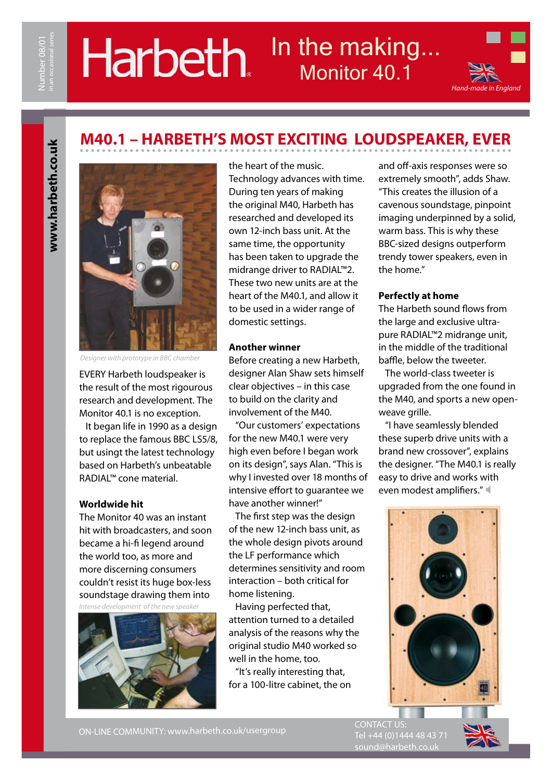# In the making. Harbeth. Monitor 40.1



# www.harbeth.co.uk **www.harbeth.co.uk**



*Designer with prototype in BBC chamber*

EVERY Harbeth loudspeaker is the result of the most rigourous research and development. The Monitor 40.1 is no exception.

 It began life in 1990 as a design to replace the famous BBC LS5/8, but usingt the latest technology based on Harbeth's unbeatable RADIAL™ cone material.

#### **Worldwide hit**

The Monitor 40 was an instant hit with broadcasters, and soon became a hi-fi legend around the world too, as more and more discerning consumers couldn't resist its huge box-less soundstage drawing them into *Intense development of the new speaker*



the heart of the music. Technology advances with time. During ten years of making the original M40, Harbeth has researched and developed its own 12-inch bass unit. At the same time, the opportunity has been taken to upgrade the midrange driver to RADIAL™2. These two new units are at the heart of the M40.1, and allow it to be used in a wider range of domestic settings.

**M40.1 – HARBETH'S MOST EXCITING LOUDSPEAKER, EVER**

#### **Another winner**

Before creating a new Harbeth, designer Alan Shaw sets himself clear objectives – in this case to build on the clarity and involvement of the M40.

 "Our customers' expectations for the new M40.1 were very high even before I began work on its design", says Alan. "This is why I invested over 18 months of intensive effort to guarantee we have another winner!"

 The first step was the design of the new 12-inch bass unit, as the whole design pivots around the LF performance which determines sensitivity and room interaction – both critical for home listening.

 Having perfected that, attention turned to a detailed analysis of the reasons why the original studio M40 worked so well in the home, too.

 "It's really interesting that, for a 100-litre cabinet, the on and off-axis responses were so extremely smooth", adds Shaw. "This creates the illusion of a cavenous soundstage, pinpoint imaging underpinned by a solid, warm bass. This is why these BBC-sized designs outperform trendy tower speakers, even in the home."

#### **Perfectly at home**

The Harbeth sound flows from the large and exclusive ultrapure RADIAL™2 midrange unit, in the middle of the traditional baffle, below the tweeter.

 The world-class tweeter is upgraded from the one found in the M40, and sports a new openweave grille.

 "I have seamlessly blended these superb drive units with a brand new crossover", explains the designer. "The M40.1 is really easy to drive and works with even modest amplifiers."



ON-LINE COMMUNITY: www.harbeth.co.uk/usergroup

CONTACT US: Tel +44 (0)1444 48 43 71 sound@harbeth.co.uk